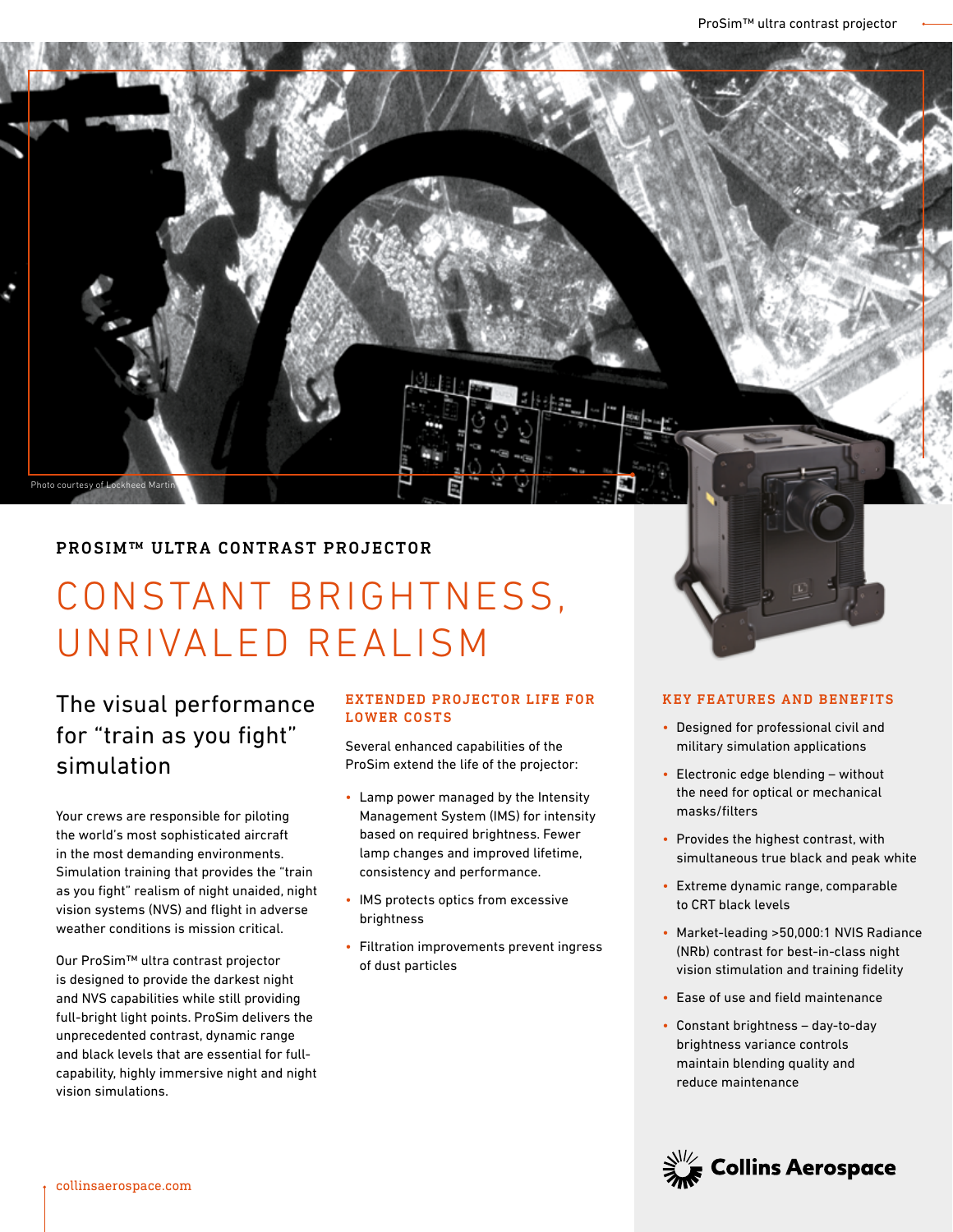### PROSIM™ ULTRA CONTRAST PROJECTOR

# CONSTANT BRIGHTNESS, UNRIVALED REALISM

# The visual performance for "train as you fight" simulation

Photo courtesy of Lockheed Martin

Your crews are responsible for piloting the world's most sophisticated aircraft in the most demanding environments. Simulation training that provides the "train as you fight" realism of night unaided, night vision systems (NVS) and flight in adverse weather conditions is mission critical.

Our ProSim™ ultra contrast projector is designed to provide the darkest night and NVS capabilities while still providing full-bright light points. ProSim delivers the unprecedented contrast, dynamic range and black levels that are essential for fullcapability, highly immersive night and night vision simulations.

#### EXTENDED PROJECTOR LIFE FOR LOWER COSTS

Several enhanced capabilities of the ProSim extend the life of the projector:

- Lamp power managed by the Intensity Management System (IMS) for intensity based on required brightness. Fewer lamp changes and improved lifetime, consistency and performance.
- IMS protects optics from excessive brightness
- Filtration improvements prevent ingress of dust particles

#### KEY FEATURES AND BENEFITS

- Designed for professional civil and military simulation applications
- Electronic edge blending without the need for optical or mechanical masks/filters
- Provides the highest contrast, with simultaneous true black and peak white
- Extreme dynamic range, comparable to CRT black levels
- Market-leading >50,000:1 NVIS Radiance (NRb) contrast for best-in-class night vision stimulation and training fidelity
- Ease of use and field maintenance
- Constant brightness day-to-day brightness variance controls maintain blending quality and reduce maintenance